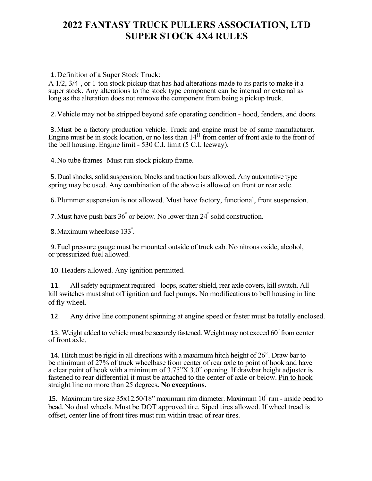## **2022 FANTASY TRUCK PULLERS ASSOCIATION, LTD SUPER STOCK 4X4 RULES**

1.Definition of a Super Stock Truck:

A 1/2, 3/4-, or 1-ton stock pickup that has had alterations made to its parts to make it a super stock. Any alterations to the stock type component can be internal or external as long as the alteration does not remove the component from being a pickup truck.

2.Vehicle may not be stripped beyond safe operating condition - hood, fenders, and doors.

3.Must be a factory production vehicle. Truck and engine must be of same manufacturer. Engine must be in stock location, or no less than  $14<sup>11</sup>$  from center of front axle to the front of the bell housing. Engine limit - 530 C.I. limit (5 C.I. leeway).

4.No tube frames- Must run stock pickup frame.

5.Dual shocks, solid suspension, blocks and traction bars allowed. Any automotive type spring may be used. Any combination of the above is allowed on front or rear axle.

6.Plummer suspension is not allowed. Must have factory, functional, front suspension.

7.Must have push bars 36" or below. No lower than 24" solid construction.

8.Maximum wheelbase 133" .

9.Fuel pressure gauge must be mounted outside of truck cab. No nitrous oxide, alcohol, or pressurized fuel allowed.

10. Headers allowed. Any ignition permitted.

11. All safety equipment required - loops, scatter shield, rear axle covers, kill switch. All killswitches must shut off ignition and fuel pumps. No modifications to bell housing in line of fly wheel.

12. Any drive line component spinning at engine speed or faster must be totally enclosed.

13. Weight added to vehicle must be securely fastened. Weight may not exceed 60" from center of front axle.

14. Hitch must be rigid in all directions with a maximum hitch height of 26". Draw bar to be minimum of 27% of truck wheelbase from center of rear axle to point of hook and have a clear point of hook with a minimum of 3.75"X 3.0" opening. If drawbar height adjuster is fastened to rear differential it must be attached to the center of axle or below. Pin to hook straight line no more than 25 degrees**. No exceptions.**

15. Maximum tire size 35x12.50/18" maximum rim diameter. Maximum 10" rim - inside bead to bead. No dual wheels. Must be DOT approved tire. Siped tires allowed. If wheel tread is offset, center line of front tires must run within tread of rear tires.